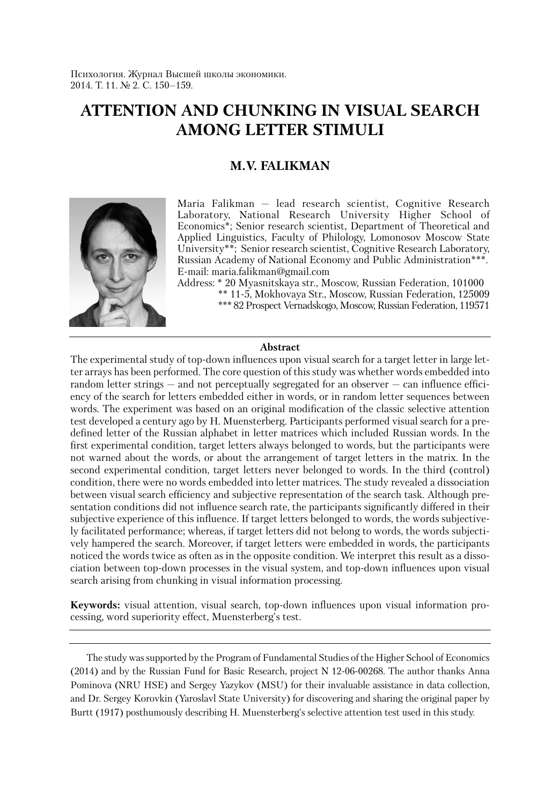Психология. Журнал Высшей школы экономики. 2014. Т. 11. № 2. С. 150–159.

# **ATTENTION AND CHUNKING IN VISUAL SEARCH AMONG LETTER STIMULI**

# **M.V. FALIKMAN**



Maria Falikman — lead research scientist, Cognitive Research Laboratory, National Research University Higher School of Economics\*; Senior research scientist, Department of Theoretical and Applied Linguistics, Faculty of Philology, Lomonosov Moscow State University\*\*; Senior research scientist, Cognitive Research Laboratory, Russian Academy of National Economy and Public Administration\*\*\*. E-mail: maria.falikman@gmail.com

Address: \* 20 Myasnitskaya str., Moscow, Russian Federation, 101000 \*\* 11-5, Mokhovaya Str., Moscow, Russian Federation, 125009 \*\*\* 82 Prospect Vernadskogo, Moscow, Russian Federation, 119571

#### **Abstract**

The experimental study of top-down influences upon visual search for a target letter in large letter arrays has been performed. The core question of this study was whether words embedded into random letter strings — and not perceptually segregated for an observer — can influence efficiency of the search for letters embedded either in words, or in random letter sequences between words. The experiment was based on an original modification of the classic selective attention test developed a century ago by H. Muensterberg. Participants performed visual search for a predefined letter of the Russian alphabet in letter matrices which included Russian words. In the first experimental condition, target letters always belonged to words, but the participants were not warned about the words, or about the arrangement of target letters in the matrix. In the second experimental condition, target letters never belonged to words. In the third (control) condition, there were no words embedded into letter matrices. The study revealed a dissociation between visual search efficiency and subjective representation of the search task. Although presentation conditions did not influence search rate, the participants significantly differed in their subjective experience of this influence. If target letters belonged to words, the words subjectively facilitated performance; whereas, if target letters did not belong to words, the words subjectively hampered the search. Moreover, if target letters were embedded in words, the participants noticed the words twice as often as in the opposite condition. We interpret this result as a dissociation between top-down processes in the visual system, and top-down influences upon visual search arising from chunking in visual information processing.

**Keywords:** visual attention, visual search, top-down influences upon visual information processing, word superiority effect, Muensterberg's test.

The study wassupported by the Program of Fundamental Studies ofthe Higher School of Economics (2014) and by the Russian Fund for Basic Research, project N 12-06-00268. The author thanks Anna Pominova (NRU HSE) and Sergey Yazykov (MSU) for their invaluable assistance in data collection, and Dr. Sergey Korovkin (Yaroslavl State University) for discovering and sharing the original paper by Burtt (1917) posthumously describing H. Muensterberg's selective attention test used in this study.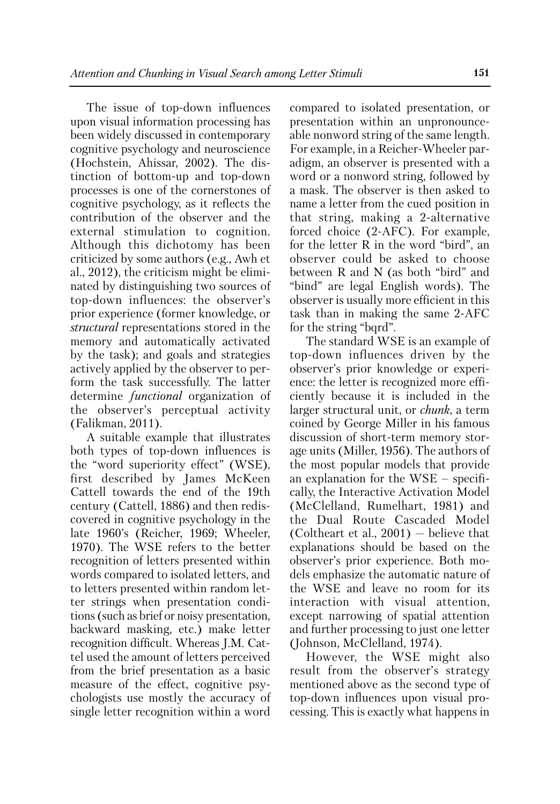The issue of top-down influences upon visual information processing has been widely discussed in contemporary cognitive psychology and neuroscience (Hochstein, Ahissar, 2002). The distinction of bottom-up and top-down processes is one of the cornerstones of cognitive psychology, as it reflects the contribution of the observer and the external stimulation to cognition. Although this dichotomy has been criticized by some authors (e.g., Awh et al., 2012), the criticism might be eliminated by distinguishing two sources of top-down influences: the observer's prior experience (former knowledge, or *structural* representations stored in the memory and automatically activated by the task); and goals and strategies actively applied by the observer to perform the task successfully. The latter determine *functional* organization of the observer's perceptual activity (Falikman, 2011).

A suitable example that illustrates both types of top-down influences is the "word superiority effect" (WSE), first described by James McKeen Cattell towards the end of the 19th century (Cattell, 1886) and then rediscovered in cognitive psychology in the late 1960's (Reicher, 1969; Wheeler, 1970). The WSE refers to the better recognition of letters presented within words compared to isolated letters, and to letters presented within random letter strings when presentation conditions (such as brief or noisy presentation, backward masking, etc.) make letter recognition difficult. Whereas J.M. Cattel used the amount of letters perceived from the brief presentation as a basic measure of the effect, cognitive psychologists use mostly the accuracy of single letter recognition within a word

compared to isolated presentation, or presentation within an unpronounceable nonword string of the same length. For example, in a Reicher-Wheeler paradigm, an observer is presented with a word or a nonword string, followed by a mask. The observer is then asked to name a letter from the cued position in that string, making a 2-alternative forced choice (2-AFC). For example, for the letter R in the word "bird", an observer could be asked to choose between R and N (as both "bird" and "bind" are legal English words). The observer is usually more efficient in this task than in making the same 2-AFC for the string "bqrd".

The standard WSE is an example of top-down influences driven by the observer's prior knowledge or experience: the letter is recognized more efficiently because it is included in the larger structural unit, or *chunk*, a term coined by George Miller in his famous discussion of short-term memory storage units (Miller, 1956). The authors of the most popular models that provide an explanation for the WSE – specifically, the Interactive Activation Model (McClelland, Rumelhart, 1981) and the Dual Route Cascaded Model (Coltheart et al., 2001) — believe that explanations should be based on the observer's prior experience. Both models emphasize the automatic nature of the WSE and leave no room for its interaction with visual attention, except narrowing of spatial attention and further processing to just one letter (Johnson, McClelland, 1974).

However, the WSE might also result from the observer's strategy mentioned above as the second type of top-down influences upon visual processing. This is exactly what happens in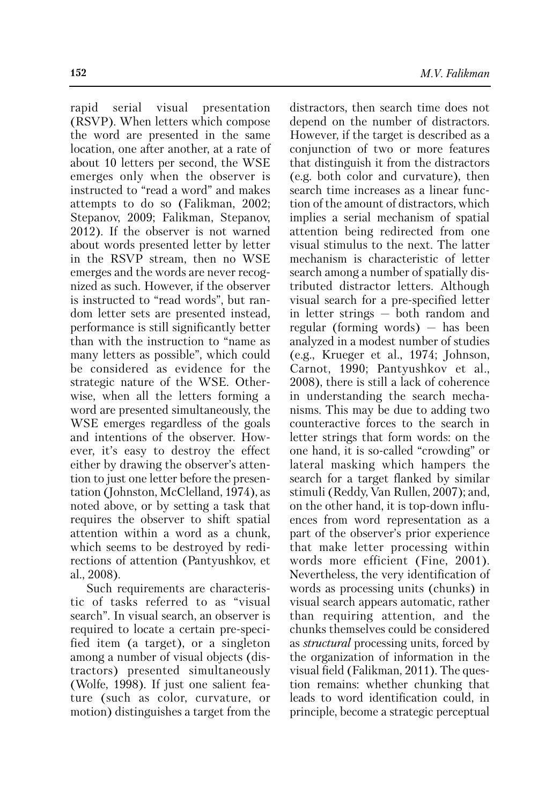rapid serial visual presentation (RSVP). When letters which compose the word are presented in the same location, one after another, at a rate of about 10 letters per second, the WSE emerges only when the observer is instructed to "read a word" and makes attempts to do so (Falikman, 2002; Stepanov, 2009; Falikman, Stepanov, 2012). If the observer is not warned about words presented letter by letter in the RSVP stream, then no WSE emerges and the words are never recognized as such. However, if the observer is instructed to "read words", but random letter sets are presented instead, performance is still significantly better than with the instruction to "name as many letters as possible", which could be considered as evidence for the strategic nature of the WSE. Otherwise, when all the letters forming a word are presented simultaneously, the WSE emerges regardless of the goals and intentions of the observer. However, it's easy to destroy the effect either by drawing the observer's attention to just one letter before the presentation (Johnston, McClelland, 1974), as noted above, or by setting a task that requires the observer to shift spatial attention within a word as a chunk, which seems to be destroyed by redirections of attention (Pantyushkov, et al., 2008).

Such requirements are characteristic of tasks referred to as "visual search". In visual search, an observer is required to locate a certain pre-specified item (a target), or a singleton among a number of visual objects (distractors) presented simultaneously (Wolfe, 1998). If just one salient feature (such as color, curvature, or motion) distinguishes a target from the distractors, then search time does not depend on the number of distractors. However, if the target is described as a conjunction of two or more features that distinguish it from the distractors (e.g. both color and curvature), then search time increases as a linear function of the amount of distractors, which implies a serial mechanism of spatial attention being redirected from one visual stimulus to the next. The latter mechanism is characteristic of letter search among a number of spatially distributed distractor letters. Although visual search for a pre-specified letter in letter strings — both random and regular (forming words) — has been analyzed in a modest number of studies (e.g., Krueger et al., 1974; Johnson, Carnot, 1990; Pantyushkov et al., 2008), there is still a lack of coherence in understanding the search mechanisms. This may be due to adding two counteractive forces to the search in letter strings that form words: on the one hand, it is so-called "crowding" or lateral masking which hampers the search for a target flanked by similar stimuli (Reddy, Van Rullen, 2007); and, on the other hand, it is top-down influences from word representation as a part of the observer's prior experience that make letter processing within words more efficient (Fine, 2001). Nevertheless, the very identification of words as processing units (chunks) in visual search appears automatic, rather than requiring attention, and the chunks themselves could be considered as *structural* processing units, forced by the organization of information in the visual field (Falikman, 2011). The question remains: whether chunking that leads to word identification could, in principle, become a strategic perceptual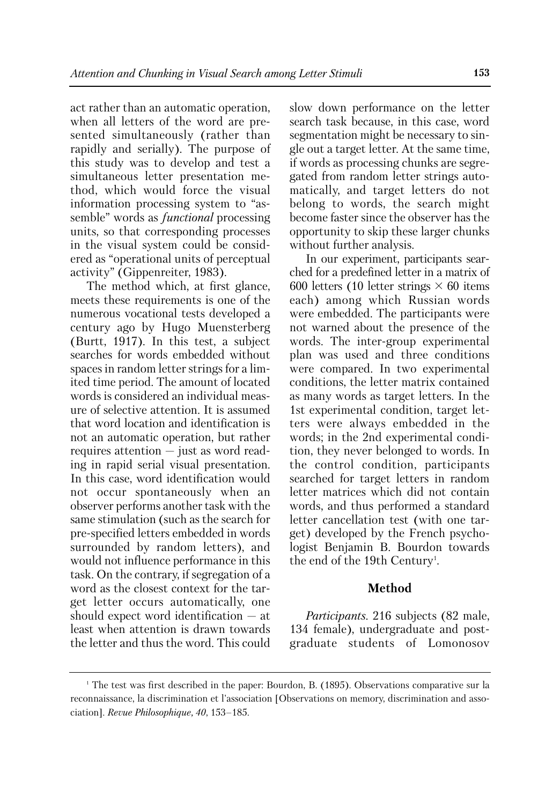act rather than an automatic operation, when all letters of the word are presented simultaneously (rather than rapidly and serially). The purpose of this study was to develop and test a simultaneous letter presentation method, which would force the visual information processing system to "assemble" words as *functional* processing units, so that corresponding processes in the visual system could be considered as "operational units of perceptual activity" (Gippenreiter, 1983).

The method which, at first glance, meets these requirements is one of the numerous vocational tests developed a century ago by Hugo Muensterberg (Burtt, 1917). In this test, a subject searches for words embedded without spaces in random letter strings for a limited time period. The amount of located words is considered an individual measure of selective attention. It is assumed that word location and identification is not an automatic operation, but rather requires attention — just as word reading in rapid serial visual presentation. In this case, word identification would not occur spontaneously when an observer performs another task with the same stimulation (such as the search for pre-specified letters embedded in words surrounded by random letters), and would not influence performance in this task. On the contrary, if segregation of a word as the closest context for the target letter occurs automatically, one should expect word identification — at least when attention is drawn towards the letter and thus the word. This could

slow down performance on the letter search task because, in this case, word segmentation might be necessary to single out a target letter. At the same time, if words as processing chunks are segregated from random letter strings automatically, and target letters do not belong to words, the search might become faster since the observer has the opportunity to skip these larger chunks without further analysis.

In our experiment, participants searched for a predefined letter in a matrix of 600 letters (10 letter strings  $\times$  60 items each) among which Russian words were embedded. The participants were not warned about the presence of the words. The inter-group experimental plan was used and three conditions were compared. In two experimental conditions, the letter matrix contained as many words as target letters. In the 1st experimental condition, target letters were always embedded in the words; in the 2nd experimental condition, they never belonged to words. In the control condition, participants searched for target letters in random letter matrices which did not contain words, and thus performed a standard letter cancellation test (with one target) developed by the French psychologist Benjamin B. Bourdon towards the end of the 19th Century<sup>1</sup>.

## **Method**

*Participants.* 216 subjects (82 male, 134 female), undergraduate and postgraduate students of Lomonosov

<sup>1</sup> The test was first described in the paper: Bourdon, B. (1895). Observations comparative sur la reconnaissance, la discrimination et l'association [Observations on memory, discrimination and association]. *Revue Philosophique, 40*, 153–185.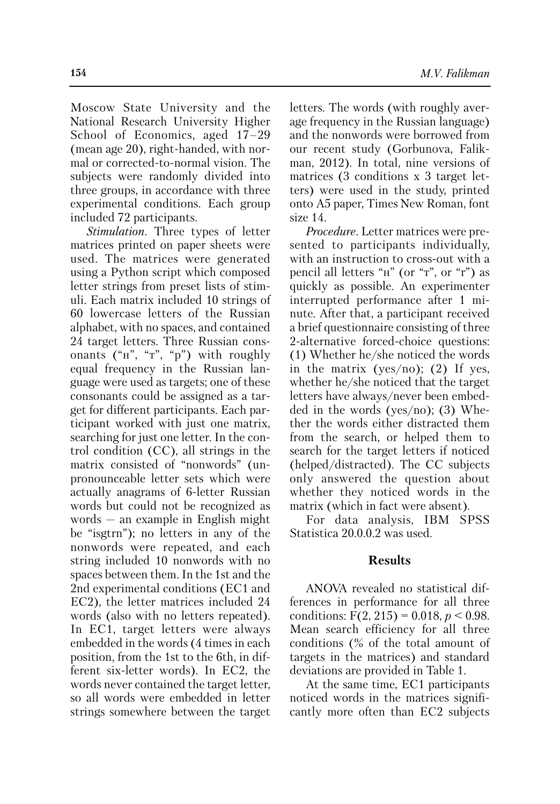Moscow State University and the National Research University Higher School of Economics, aged 17–29 (mean age 20), right-handed, with normal or corrected-to-normal vision. The subjects were randomly divided into three groups, in accordance with three experimental conditions. Each group included 72 participants.

*Stimulation.* Three types of letter matrices printed on paper sheets were used. The matrices were generated using a Python script which composed letter strings from preset lists of stimuli. Each matrix included 10 strings of 60 lowercase letters of the Russian alphabet, with no spaces, and contained 24 target letters. Three Russian consonants  $({}^{\omega}H^{\nu}, {}^{\omega}T^{\nu}, {}^{\omega}D^{\nu})$  with roughly equal frequency in the Russian language were used as targets; one of these consonants could be assigned as a target for different participants. Each participant worked with just one matrix, searching for just one letter. In the control condition (CC), all strings in the matrix consisted of "nonwords" (unpronounceable letter sets which were actually anagrams of 6-letter Russian words but could not be recognized as words — an example in English might be "isgtrn"); no letters in any of the nonwords were repeated, and each string included 10 nonwords with no spaces between them. In the 1st and the 2nd experimental conditions (EC1 and EC2), the letter matrices included 24 words (also with no letters repeated). In EC1, target letters were always embedded in the words (4 times in each position, from the 1st to the 6th, in different six-letter words). In EC2, the words never contained the target letter, so all words were embedded in letter strings somewhere between the target

letters. The words (with roughly average frequency in the Russian language) and the nonwords were borrowed from our recent study (Gorbunova, Falikman, 2012). In total, nine versions of matrices (3 conditions x 3 target letters) were used in the study, printed onto A5 paper, Times New Roman, font size 14.

*Procedure.* Letter matrices were presented to participants individually, with an instruction to cross-out with a pencil all letters "н" (or "т", or "r") as quickly as possible. An experimenter interrupted performance after 1 minute. After that, a participant received a brief questionnaire consisting of three 2-alternative forced-choice questions: (1) Whether he/she noticed the words in the matrix (yes/no); (2) If yes, whether he/she noticed that the target letters have always/never been embedded in the words (yes/no); (3) Whether the words either distracted them from the search, or helped them to search for the target letters if noticed (helped/distracted). The CC subjects only answered the question about whether they noticed words in the matrix (which in fact were absent).

For data analysis, IBM SPSS Statistica 20.0.0.2 was used.

## **Results**

ANOVA revealed no statistical differences in performance for all three conditions:  $F(2, 215) = 0.018$ ,  $p < 0.98$ . Mean search efficiency for all three conditions (% of the total amount of targets in the matrices) and standard deviations are provided in Table 1.

At the same time, EC1 participants noticed words in the matrices significantly more often than EC2 subjects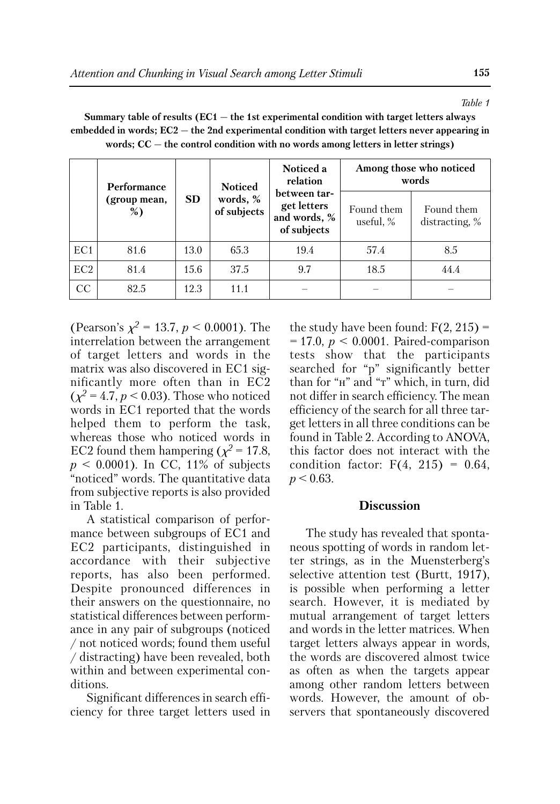|                 | Performance<br><b>SD</b><br>(group mean,<br>% |      | <b>Noticed</b><br>words, %<br>of subjects | Noticed a<br>relation<br>between tar-<br>get letters<br>and words, %<br>of subjects | Among those who noticed<br>words |                              |
|-----------------|-----------------------------------------------|------|-------------------------------------------|-------------------------------------------------------------------------------------|----------------------------------|------------------------------|
|                 |                                               |      |                                           |                                                                                     | Found them<br>useful, %          | Found them<br>distracting, % |
| EC <sub>1</sub> | 81.6                                          | 13.0 | 65.3                                      | 19.4                                                                                | 57.4                             | 8.5                          |
| EC <sub>2</sub> | 81.4                                          | 15.6 | 37.5                                      | 9.7                                                                                 | 18.5                             | 44.4                         |
| СC              | 82.5                                          | 12.3 | 11.1                                      |                                                                                     |                                  |                              |

**Summary table of results (EC1 — the 1st experimental condition with target letters always embedded in words; EC2 — the 2nd experimental condition with target letters never appearing in words; CC — the control condition with no words among letters in letter strings)**

(Pearson's  $\chi^2$  = 13.7, *p* < 0.0001). The interrelation between the arrangement of target letters and words in the matrix was also discovered in EC1 significantly more often than in EC2  $(\chi^2 = 4.7, p < 0.03)$ . Those who noticed words in EC1 reported that the words helped them to perform the task, whereas those who noticed words in EC2 found them hampering  $(\chi^2 = 17.8,$  $p \leq 0.0001$ ). In CC, 11\% of subjects "noticed" words. The quantitative data from subjective reports is also provided in Table 1.

A statistical comparison of performance between subgroups of EC1 and EC2 participants, distinguished in accordance with their subjective reports, has also been performed. Despite pronounced differences in their answers on the questionnaire, no statistical differences between performance in any pair of subgroups (noticed / not noticed words; found them useful / distracting) have been revealed, both within and between experimental conditions.

Significant differences in search efficiency for three target letters used in the study have been found:  $F(2, 215) =$ = 17.0, *p* < 0.0001. Paired-comparison tests show that the participants searched for "p" significantly better than for "н" and "т" which, in turn, did not differ in search efficiency. The mean efficiency of the search for all three target letters in all three conditions can be found in Table 2. According to ANOVA, this factor does not interact with the condition factor:  $F(4, 215) = 0.64$ , *p* < 0.63.

## **Discussion**

The study has revealed that spontaneous spotting of words in random letter strings, as in the Muensterberg's selective attention test (Burtt, 1917), is possible when performing a letter search. However, it is mediated by mutual arrangement of target letters and words in the letter matrices. When target letters always appear in words, the words are discovered almost twice as often as when the targets appear among other random letters between words. However, the amount of observers that spontaneously discovered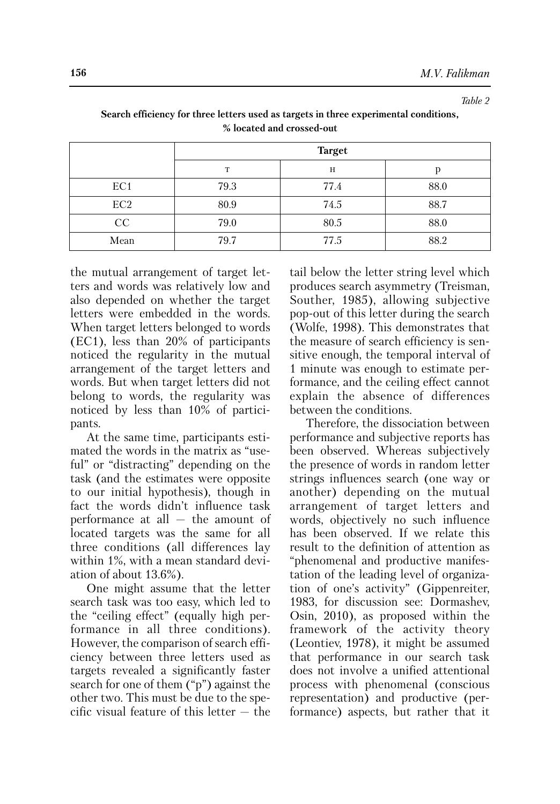*Table 2*

|      | <b>Target</b> |      |      |  |  |
|------|---------------|------|------|--|--|
|      | T             | Н    |      |  |  |
| EC1  | 79.3          | 77.4 | 88.0 |  |  |
| EC2  | 80.9          | 74.5 | 88.7 |  |  |
| CC   | 79.0          | 80.5 | 88.0 |  |  |
| Mean | 79.7          | 77.5 | 88.2 |  |  |

**Search efficiency for three letters used as targets in three experimental conditions, % located and crossed-out**

the mutual arrangement of target letters and words was relatively low and also depended on whether the target letters were embedded in the words. When target letters belonged to words (EC1), less than 20% of participants noticed the regularity in the mutual arrangement of the target letters and words. But when target letters did not belong to words, the regularity was noticed by less than 10% of participants.

At the same time, participants estimated the words in the matrix as "useful" or "distracting" depending on the task (and the estimates were opposite to our initial hypothesis), though in fact the words didn't influence task performance at all — the amount of located targets was the same for all three conditions (all differences lay within 1%, with a mean standard deviation of about 13.6%).

One might assume that the letter search task was too easy, which led to the "ceiling effect" (equally high performance in all three conditions). However, the comparison of search efficiency between three letters used as targets revealed a significantly faster search for one of them ("p") against the other two. This must be due to the specific visual feature of this letter — the tail below the letter string level which produces search asymmetry (Treisman, Souther, 1985), allowing subjective pop-out of this letter during the search (Wolfe, 1998). This demonstrates that the measure of search efficiency is sensitive enough, the temporal interval of 1 minute was enough to estimate performance, and the ceiling effect cannot explain the absence of differences between the conditions.

Therefore, the dissociation between performance and subjective reports has been observed. Whereas subjectively the presence of words in random letter strings influences search (one way or another) depending on the mutual arrangement of target letters and words, objectively no such influence has been observed. If we relate this result to the definition of attention as "phenomenal and productive manifestation of the leading level of organization of one's activity" (Gippenreiter, 1983, for discussion see: Dormashev, Osin, 2010), as proposed within the framework of the activity theory (Leontiev, 1978), it might be assumed that performance in our search task does not involve a unified attentional process with phenomenal (conscious representation) and productive (performance) aspects, but rather that it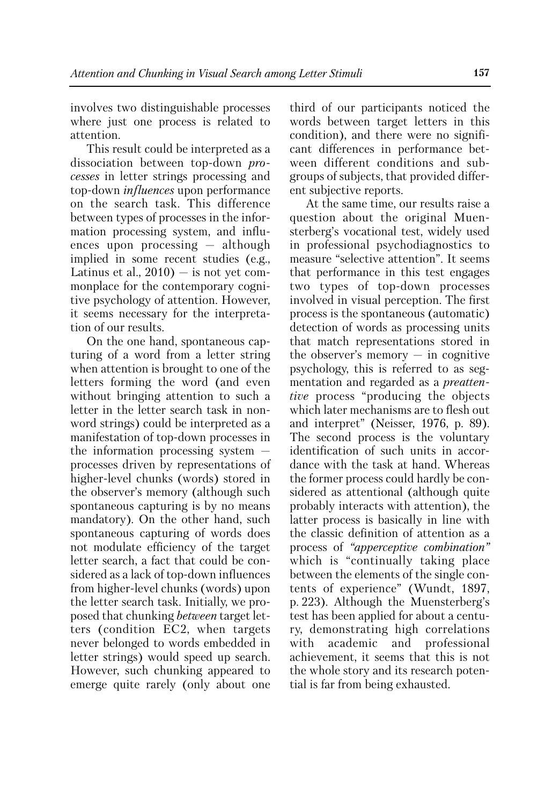involves two distinguishable processes where just one process is related to attention.

This result could be interpreted as a dissociation between top-down *processes* in letter strings processing and top-down *influences* upon performance on the search task. This difference between types of processes in the information processing system, and influences upon processing — although implied in some recent studies (e.g., Latinus et al.,  $2010$ )  $-$  is not yet commonplace for the contemporary cognitive psychology of attention. However, it seems necessary for the interpretation of our results.

On the one hand, spontaneous capturing of a word from a letter string when attention is brought to one of the letters forming the word (and even without bringing attention to such a letter in the letter search task in nonword strings) could be interpreted as a manifestation of top-down processes in the information processing system processes driven by representations of higher-level chunks (words) stored in the observer's memory (although such spontaneous capturing is by no means mandatory). On the other hand, such spontaneous capturing of words does not modulate efficiency of the target letter search, a fact that could be considered as a lack of top-down influences from higher-level chunks (words) upon the letter search task. Initially, we proposed that chunking *between* target letters (condition EC2, when targets never belonged to words embedded in letter strings) would speed up search. However, such chunking appeared to emerge quite rarely (only about one

third of our participants noticed the words between target letters in this condition), and there were no significant differences in performance between different conditions and subgroups of subjects, that provided different subjective reports.

At the same time, our results raise a question about the original Muensterberg's vocational test, widely used in professional psychodiagnostics to measure "selective attention". It seems that performance in this test engages two types of top-down processes involved in visual perception. The first process is the spontaneous (automatic) detection of words as processing units that match representations stored in the observer's memory  $-$  in cognitive psychology, this is referred to as segmentation and regarded as a *preattentive* process "producing the objects which later mechanisms are to flesh out and interpret" (Neisser, 1976, p. 89). The second process is the voluntary identification of such units in accordance with the task at hand. Whereas the former process could hardly be considered as attentional (although quite probably interacts with attention), the latter process is basically in line with the classic definition of attention as a process of *"apperceptive combination"* which is "continually taking place between the elements of the single contents of experience" (Wundt, 1897, p. 223). Although the Muensterberg's test has been applied for about a century, demonstrating high correlations with academic and professional achievement, it seems that this is not the whole story and its research potential is far from being exhausted.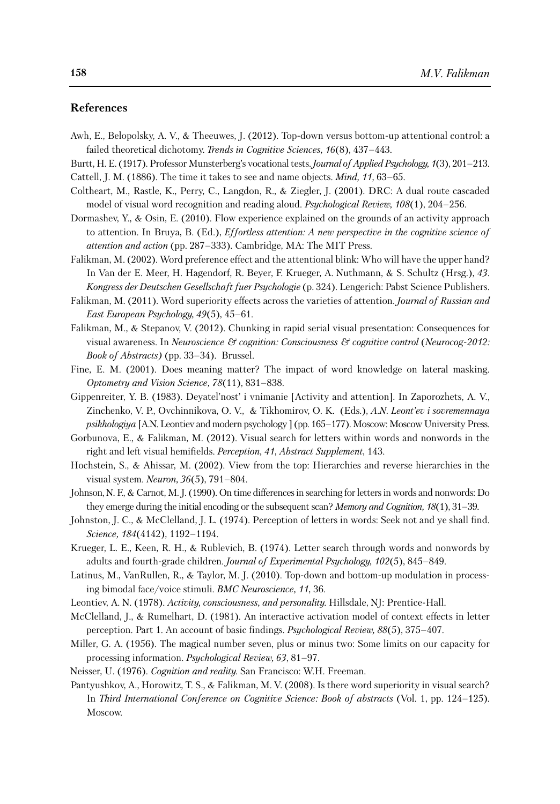#### **References**

- Awh, E., Belopolsky, A. V., & Theeuwes, J. (2012). Top-down versus bottom-up attentional control: a failed theoretical dichotomy. *Trends in Cognitive Sciences, 16*(8), 437–443.
- Burtt, H. E. (1917). Professor Munsterberg's vocationaltests.*Journal of Applied Psychology, 1*(3), 201–213.
- Cattell, J. M. (1886). The time it takes to see and name objects. *Mind, 11*, 63–65.
- Coltheart, M., Rastle, K., Perry, C., Langdon, R., & Ziegler, J. (2001). DRC: A dual route cascaded model of visual word recognition and reading aloud. *Psychological Review, 108*(1), 204–256.
- Dormashev, Y., & Osin, E. (2010). Flow experience explained on the grounds of an activity approach to attention. In Bruya, B. (Ed.), *Effortless attention: A new perspective in the cognitive science of attention and action* (pp. 287–333). Cambridge, MA: The MIT Press.
- Falikman, M. (2002). Word preference effect and the attentional blink: Who will have the upper hand? In Van der E. Meer, H. Hagendorf, R. Beyer, F. Krueger, A. Nuthmann, & S. Schultz (Hrsg.), *43. Kongress der Deutschen Gesellschaft fuer Psychologie* (p. 324). Lengerich: Pabst Science Publishers.
- Falikman, M. (2011). Word superiority effects across the varieties of attention. *Journal of Russian and East European Psychology, 49*(5), 45–61.
- Falikman, M., & Stepanov, V. (2012). Chunking in rapid serial visual presentation: Consequences for visual awareness. In *Neuroscience & cognition: Consciousness & cognitive control* (*Neurocog-2012: Book of Abstracts)* (pp. 33–34). Brussel.
- Fine, E. M. (2001). Does meaning matter? The impact of word knowledge on lateral masking. *Optometry and Vision Science, 78*(11), 831–838.
- Gippenreiter, Y. B. (1983). Deyatel'nost' i vnimanie [Activity and attention]. In Zaporozhets, A. V., Zinchenko, V. P., Ovchinnikova, O. V., & Tikhomirov, O. K. (Eds.), *A.N. Leont'ev i sovremennaya* psikhologiya [A.N. Leontiev and modern psychology ] (pp. 165–177). Moscow: Moscow University Press.
- Gorbunova, E., & Falikman, M. (2012). Visual search for letters within words and nonwords in the right and left visual hemifields. *Perception, 41*, *Abstract Supplement*, 143.
- Hochstein, S., & Ahissar, M. (2002). View from the top: Hierarchies and reverse hierarchies in the visual system. *Neuron, 36*(5), 791–804.
- Johnson, N. F., & Carnot, M. J. (1990). On time differencesin searching forlettersin words and nonwords: Do they emerge during the initial encoding or the subsequent scan? *Memory and Cognition,*  $18(1)$ ,  $31-39$ .
- Johnston, J. C., & McClelland, J. L. (1974). Perception of letters in words: Seek not and ye shall find. *Science, 184*(4142), 1192–1194.
- Krueger, L. E., Keen, R. H., & Rublevich, B. (1974). Letter search through words and nonwords by adults and fourth-grade children. *Journal of Experimental Psychology, 102*(5), 845–849.
- Latinus, M., VanRullen, R., & Taylor, M. J. (2010). Top-down and bottom-up modulation in processing bimodal face/voice stimuli. *BMC Neuroscience, 11*, 36.
- Leontiev, A. N. (1978). *Activity, consciousness, and personality.* Hillsdale, NJ: Prentice-Hall.
- McClelland, J., & Rumelhart, D. (1981). An interactive activation model of context effects in letter perception. Part 1. An account of basic findings. *Psychological Review, 88*(5), 375–407.
- Miller, G. A. (1956). The magical number seven, plus or minus two: Some limits on our capacity for processing information. *Psychological Review, 63*, 81–97.
- Neisser, U. (1976). *Cognition and reality.* San Francisco: W.H. Freeman.
- Pantyushkov, A., Horowitz, T. S., & Falikman, M. V. (2008). Is there word superiority in visual search? In *Third International Conference on Cognitive Science: Book of abstracts* (Vol. 1, pp. 124–125). Moscow.